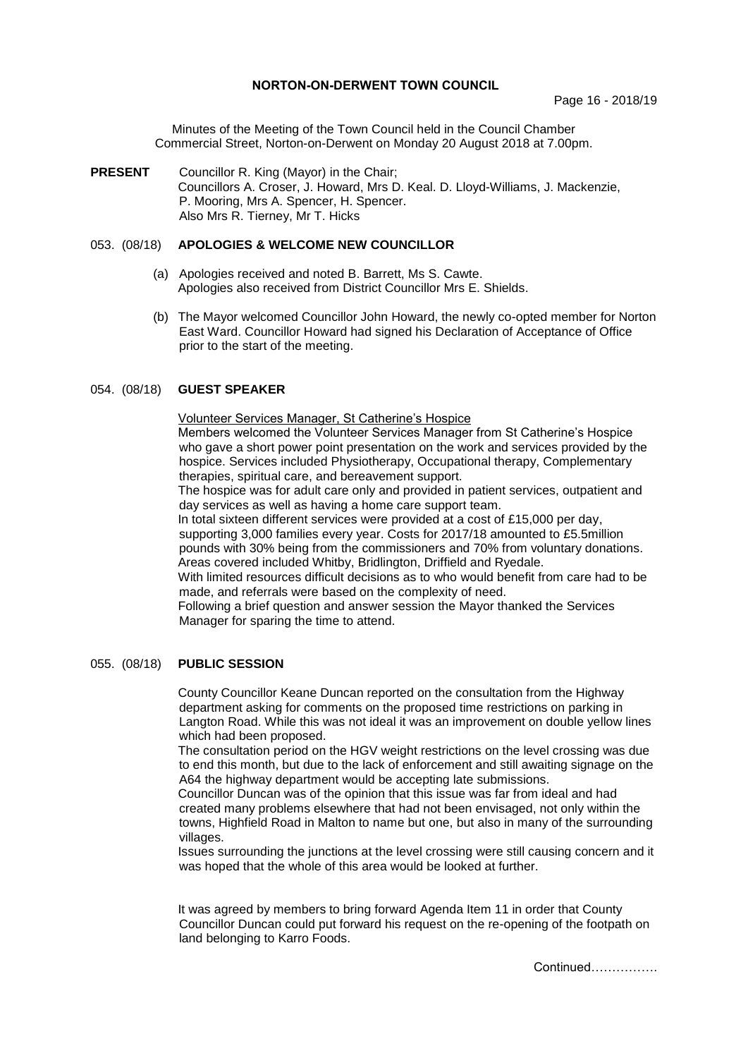## **NORTON-ON-DERWENT TOWN COUNCIL**

Minutes of the Meeting of the Town Council held in the Council Chamber Commercial Street, Norton-on-Derwent on Monday 20 August 2018 at 7.00pm.

**PRESENT** Councillor R. King (Mayor) in the Chair; Councillors A. Croser, J. Howard, Mrs D. Keal. D. Lloyd-Williams, J. Mackenzie, P. Mooring, Mrs A. Spencer, H. Spencer. Also Mrs R. Tierney, Mr T. Hicks

# 053. (08/18) **APOLOGIES & WELCOME NEW COUNCILLOR**

- (a) Apologies received and noted B. Barrett, Ms S. Cawte. Apologies also received from District Councillor Mrs E. Shields.
- (b) The Mayor welcomed Councillor John Howard, the newly co-opted member for Norton East Ward. Councillor Howard had signed his Declaration of Acceptance of Office prior to the start of the meeting.

# 054. (08/18) **GUEST SPEAKER**

Volunteer Services Manager, St Catherine's Hospice

Members welcomed the Volunteer Services Manager from St Catherine's Hospice who gave a short power point presentation on the work and services provided by the hospice. Services included Physiotherapy, Occupational therapy, Complementary therapies, spiritual care, and bereavement support.

The hospice was for adult care only and provided in patient services, outpatient and day services as well as having a home care support team.

In total sixteen different services were provided at a cost of £15,000 per day, supporting 3,000 families every year. Costs for 2017/18 amounted to £5.5million pounds with 30% being from the commissioners and 70% from voluntary donations. Areas covered included Whitby, Bridlington, Driffield and Ryedale.

With limited resources difficult decisions as to who would benefit from care had to be made, and referrals were based on the complexity of need.

Following a brief question and answer session the Mayor thanked the Services Manager for sparing the time to attend.

### 055. (08/18) **PUBLIC SESSION**

County Councillor Keane Duncan reported on the consultation from the Highway department asking for comments on the proposed time restrictions on parking in Langton Road. While this was not ideal it was an improvement on double yellow lines which had been proposed.

The consultation period on the HGV weight restrictions on the level crossing was due to end this month, but due to the lack of enforcement and still awaiting signage on the A64 the highway department would be accepting late submissions.

Councillor Duncan was of the opinion that this issue was far from ideal and had created many problems elsewhere that had not been envisaged, not only within the towns, Highfield Road in Malton to name but one, but also in many of the surrounding villages.

Issues surrounding the junctions at the level crossing were still causing concern and it was hoped that the whole of this area would be looked at further.

It was agreed by members to bring forward Agenda Item 11 in order that County Councillor Duncan could put forward his request on the re-opening of the footpath on land belonging to Karro Foods.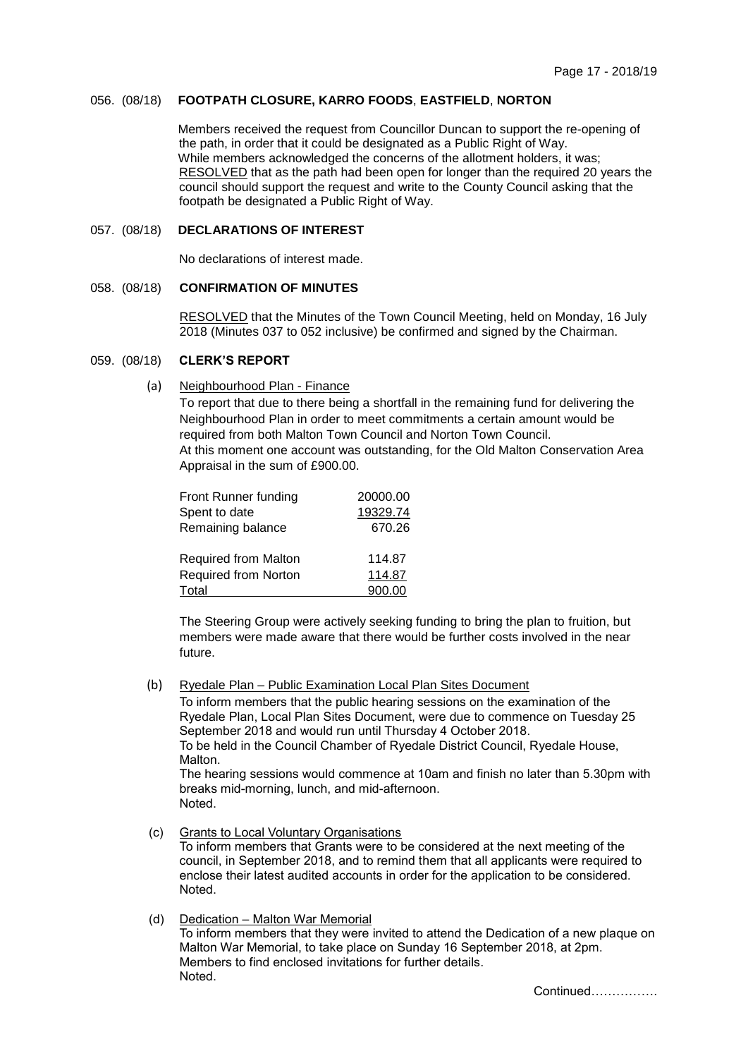# 056. (08/18) **FOOTPATH CLOSURE, KARRO FOODS**, **EASTFIELD**, **NORTON**

Members received the request from Councillor Duncan to support the re-opening of the path, in order that it could be designated as a Public Right of Way. While members acknowledged the concerns of the allotment holders, it was; RESOLVED that as the path had been open for longer than the required 20 years the council should support the request and write to the County Council asking that the footpath be designated a Public Right of Way.

# 057. (08/18) **DECLARATIONS OF INTEREST**

No declarations of interest made.

## 058. (08/18) **CONFIRMATION OF MINUTES**

 RESOLVED that the Minutes of the Town Council Meeting, held on Monday, 16 July 2018 (Minutes 037 to 052 inclusive) be confirmed and signed by the Chairman.

#### 059. (08/18) **CLERK'S REPORT**

(a) Neighbourhood Plan - Finance

To report that due to there being a shortfall in the remaining fund for delivering the Neighbourhood Plan in order to meet commitments a certain amount would be required from both Malton Town Council and Norton Town Council. At this moment one account was outstanding, for the Old Malton Conservation Area Appraisal in the sum of £900.00.

| Front Runner funding        | 20000.00 |
|-----------------------------|----------|
| Spent to date               | 19329.74 |
| Remaining balance           | 670.26   |
| <b>Required from Malton</b> | 114.87   |
| Required from Norton        | 114.87   |
| Total                       | 900.00   |

The Steering Group were actively seeking funding to bring the plan to fruition, but members were made aware that there would be further costs involved in the near future.

(b) Ryedale Plan – Public Examination Local Plan Sites Document

To inform members that the public hearing sessions on the examination of the Ryedale Plan, Local Plan Sites Document, were due to commence on Tuesday 25 September 2018 and would run until Thursday 4 October 2018. To be held in the Council Chamber of Ryedale District Council, Ryedale House, Malton. The hearing sessions would commence at 10am and finish no later than 5.30pm with breaks mid-morning, lunch, and mid-afternoon. Noted.

- (c) Grants to Local Voluntary Organisations To inform members that Grants were to be considered at the next meeting of the council, in September 2018, and to remind them that all applicants were required to enclose their latest audited accounts in order for the application to be considered. Noted.
- (d) Dedication Malton War Memorial To inform members that they were invited to attend the Dedication of a new plaque on Malton War Memorial, to take place on Sunday 16 September 2018, at 2pm. Members to find enclosed invitations for further details. Noted.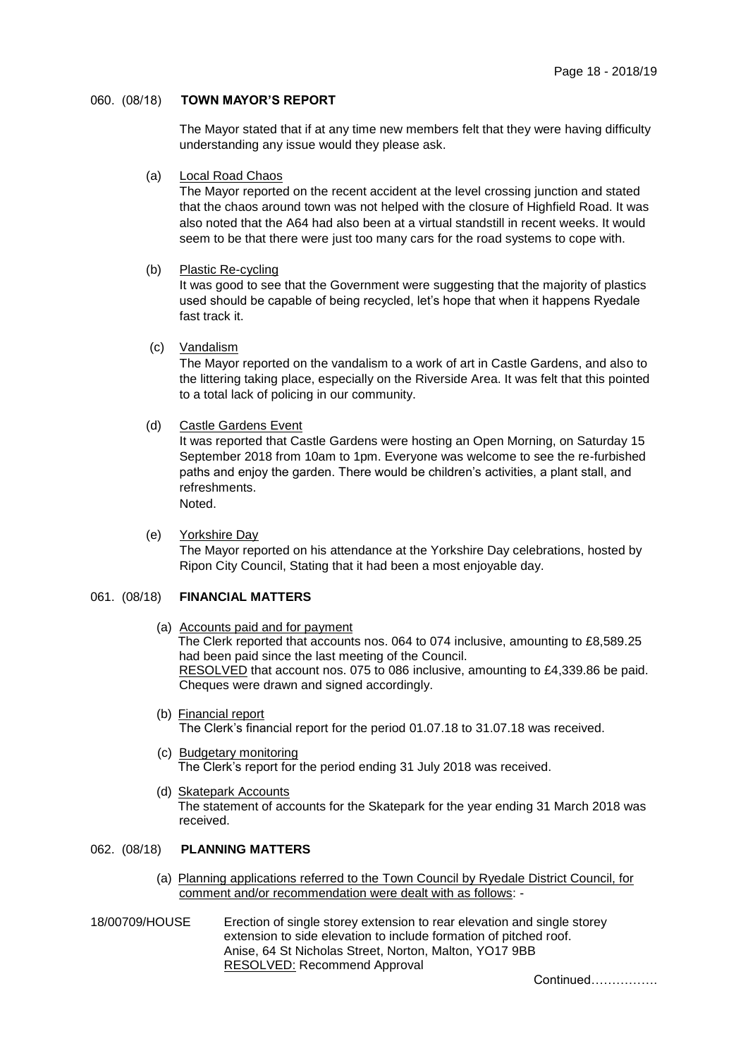# 060. (08/18) **TOWN MAYOR'S REPORT**

The Mayor stated that if at any time new members felt that they were having difficulty understanding any issue would they please ask.

#### (a) Local Road Chaos

The Mayor reported on the recent accident at the level crossing junction and stated that the chaos around town was not helped with the closure of Highfield Road. It was also noted that the A64 had also been at a virtual standstill in recent weeks. It would seem to be that there were just too many cars for the road systems to cope with.

### (b) Plastic Re-cycling

It was good to see that the Government were suggesting that the majority of plastics used should be capable of being recycled, let's hope that when it happens Ryedale fast track it.

(c) Vandalism

The Mayor reported on the vandalism to a work of art in Castle Gardens, and also to the littering taking place, especially on the Riverside Area. It was felt that this pointed to a total lack of policing in our community.

### (d) Castle Gardens Event

It was reported that Castle Gardens were hosting an Open Morning, on Saturday 15 September 2018 from 10am to 1pm. Everyone was welcome to see the re-furbished paths and enjoy the garden. There would be children's activities, a plant stall, and refreshments.

Noted.

 (e) Yorkshire Day The Mayor reported on his attendance at the Yorkshire Day celebrations, hosted by Ripon City Council, Stating that it had been a most enjoyable day.

## 061. (08/18) **FINANCIAL MATTERS**

(a) Accounts paid and for payment

The Clerk reported that accounts nos. 064 to 074 inclusive, amounting to £8,589.25 had been paid since the last meeting of the Council. RESOLVED that account nos. 075 to 086 inclusive, amounting to £4,339.86 be paid. Cheques were drawn and signed accordingly.

- (b) Financial report The Clerk's financial report for the period 01.07.18 to 31.07.18 was received.
- (c) Budgetary monitoring The Clerk's report for the period ending 31 July 2018 was received.
- (d) Skatepark Accounts The statement of accounts for the Skatepark for the year ending 31 March 2018 was received.

# 062. (08/18) **PLANNING MATTERS**

- (a) Planning applications referred to the Town Council by Ryedale District Council, for comment and/or recommendation were dealt with as follows: -
- 18/00709/HOUSE Erection of single storey extension to rear elevation and single storey extension to side elevation to include formation of pitched roof. Anise, 64 St Nicholas Street, Norton, Malton, YO17 9BB RESOLVED: Recommend Approval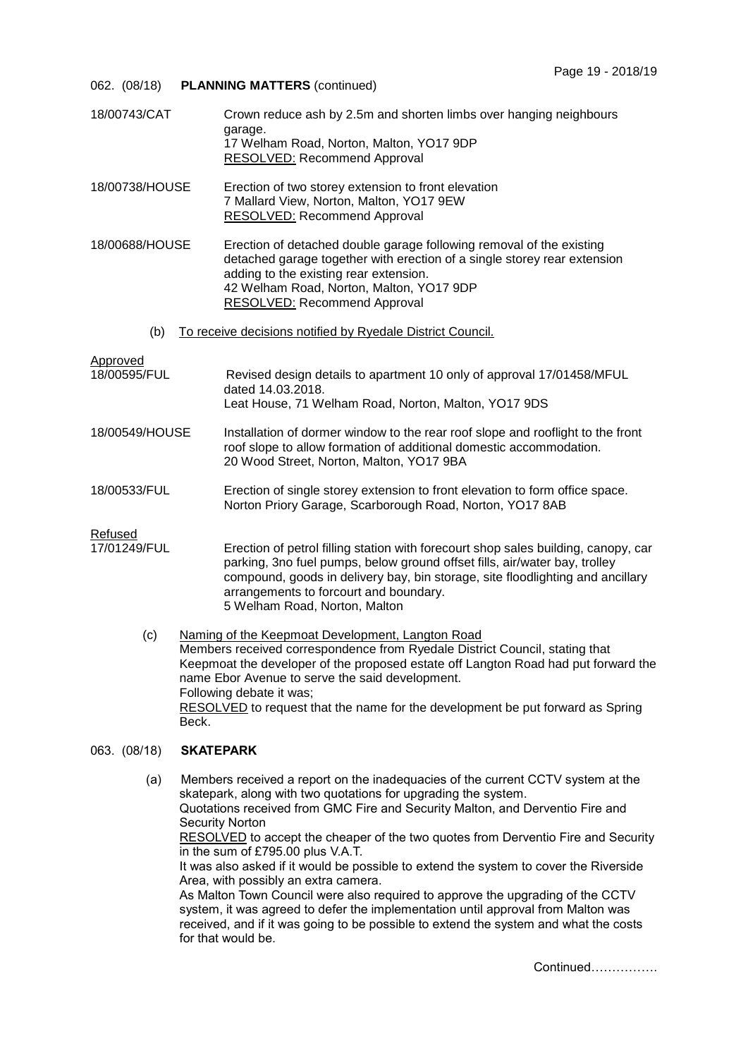- 062. (08/18) **PLANNING MATTERS** (continued)
- 18/00743/CAT Crown reduce ash by 2.5m and shorten limbs over hanging neighbours garage. 17 Welham Road, Norton, Malton, YO17 9DP RESOLVED: Recommend Approval
- 18/00738/HOUSE Erection of two storey extension to front elevation 7 Mallard View, Norton, Malton, YO17 9EW RESOLVED: Recommend Approval
- 18/00688/HOUSE Erection of detached double garage following removal of the existing detached garage together with erection of a single storey rear extension adding to the existing rear extension. 42 Welham Road, Norton, Malton, YO17 9DP RESOLVED: Recommend Approval
	- (b) To receive decisions notified by Ryedale District Council.

Approved

- 18/00595/FUL Revised design details to apartment 10 only of approval 17/01458/MFUL dated 14.03.2018. Leat House, 71 Welham Road, Norton, Malton, YO17 9DS
- 18/00549/HOUSE Installation of dormer window to the rear roof slope and rooflight to the front roof slope to allow formation of additional domestic accommodation. 20 Wood Street, Norton, Malton, YO17 9BA
- 18/00533/FUL Erection of single storey extension to front elevation to form office space. Norton Priory Garage, Scarborough Road, Norton, YO17 8AB

Refused

- 17/01249/FUL Erection of petrol filling station with forecourt shop sales building, canopy, car parking, 3no fuel pumps, below ground offset fills, air/water bay, trolley compound, goods in delivery bay, bin storage, site floodlighting and ancillary arrangements to forcourt and boundary. 5 Welham Road, Norton, Malton
	- (c) Naming of the Keepmoat Development, Langton Road Members received correspondence from Ryedale District Council, stating that Keepmoat the developer of the proposed estate off Langton Road had put forward the name Ebor Avenue to serve the said development. Following debate it was; RESOLVED to request that the name for the development be put forward as Spring Beck.

### 063. (08/18) **SKATEPARK**

(a) Members received a report on the inadequacies of the current CCTV system at the skatepark, along with two quotations for upgrading the system. Quotations received from GMC Fire and Security Malton, and Derventio Fire and Security Norton RESOLVED to accept the cheaper of the two quotes from Derventio Fire and Security in the sum of £795.00 plus V.A.T. It was also asked if it would be possible to extend the system to cover the Riverside Area, with possibly an extra camera. As Malton Town Council were also required to approve the upgrading of the CCTV system, it was agreed to defer the implementation until approval from Malton was received, and if it was going to be possible to extend the system and what the costs for that would be.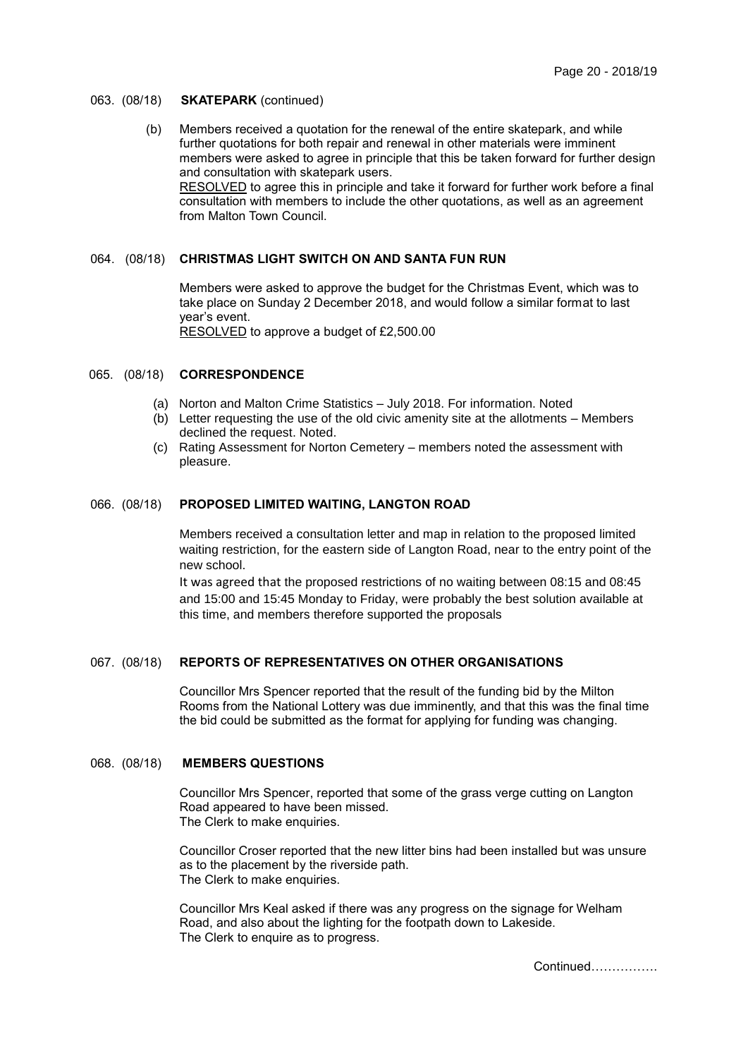#### 063. (08/18) **SKATEPARK** (continued)

 (b) Members received a quotation for the renewal of the entire skatepark, and while further quotations for both repair and renewal in other materials were imminent members were asked to agree in principle that this be taken forward for further design and consultation with skatepark users. RESOLVED to agree this in principle and take it forward for further work before a final consultation with members to include the other quotations, as well as an agreement from Malton Town Council.

# 064. (08/18) **CHRISTMAS LIGHT SWITCH ON AND SANTA FUN RUN**

Members were asked to approve the budget for the Christmas Event, which was to take place on Sunday 2 December 2018, and would follow a similar format to last year's event. RESOLVED to approve a budget of £2,500.00

#### 065. (08/18) **CORRESPONDENCE**

- (a) Norton and Malton Crime Statistics July 2018. For information. Noted
- (b) Letter requesting the use of the old civic amenity site at the allotments Members declined the request. Noted.
- (c) Rating Assessment for Norton Cemetery members noted the assessment with pleasure.

#### 066. (08/18) **PROPOSED LIMITED WAITING, LANGTON ROAD**

Members received a consultation letter and map in relation to the proposed limited waiting restriction, for the eastern side of Langton Road, near to the entry point of the new school.

It was agreed that the proposed restrictions of no waiting between 08:15 and 08:45 and 15:00 and 15:45 Monday to Friday, were probably the best solution available at this time, and members therefore supported the proposals

## 067. (08/18) **REPORTS OF REPRESENTATIVES ON OTHER ORGANISATIONS**

Councillor Mrs Spencer reported that the result of the funding bid by the Milton Rooms from the National Lottery was due imminently, and that this was the final time the bid could be submitted as the format for applying for funding was changing.

## 068. (08/18) **MEMBERS QUESTIONS**

Councillor Mrs Spencer, reported that some of the grass verge cutting on Langton Road appeared to have been missed. The Clerk to make enquiries.

Councillor Croser reported that the new litter bins had been installed but was unsure as to the placement by the riverside path. The Clerk to make enquiries.

Councillor Mrs Keal asked if there was any progress on the signage for Welham Road, and also about the lighting for the footpath down to Lakeside. The Clerk to enquire as to progress.